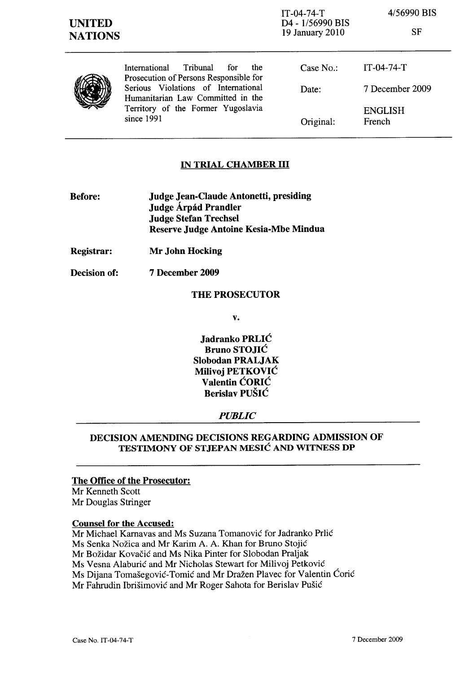## IN TRIAL CHAMBER III

- Before: Judge Jean-Claude Antonetti, presiding Judge Árpád Prandler Judge Stefan Trechsel Reserve Judge Antoine Kesia-Mbe Mindua
- Registrar: Mr John Hocking
- Decision of: 7 December 2009

## THE PROSECUTOR

v.

Jadranko PRLIC Bruno STOJIC Slobodan PRALJAK Milivoj PETKOVIC Valentin CORIC Berislav PUSIC

#### *PUBLIC*

## DECISION AMENDING DECISIONS REGARDING ADMISSION OF TESTIMONY OF STJEPAN MESIC AND WITNESS DP

#### The Office of the Prosecutor:

Mr Kenneth Scott Mr Douglas Stringer

#### Counsel for the Accused:

Mr Michael Karnavas and Ms Suzana Tomanović for Jadranko Prlić Ms Senka Nozica and Mr Karim A. A. Khan for Bruno Stojic Mr Božidar Kovačić and Ms Nika Pinter for Slobodan Praljak Ms Vesna Alaburić and Mr Nicholas Stewart for Milivoj Petković Ms Dijana Tomašegović-Tomić and Mr Dražen Plavec for Valentin Ćorić Mr Fahrudin Ibrišimović and Mr Roger Sahota for Berislav Pušić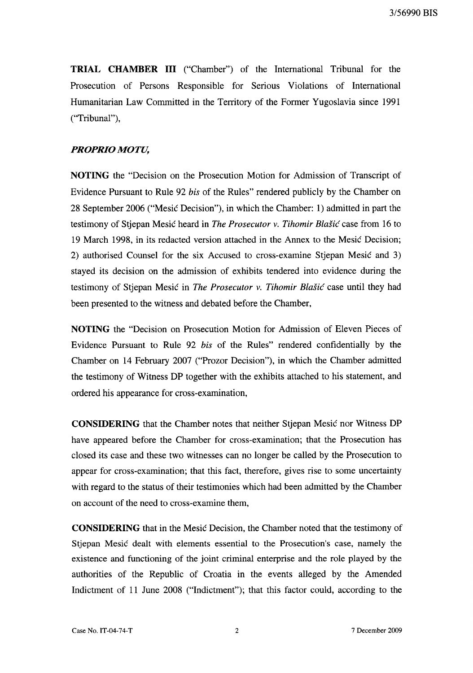TRIAL CHAMBER **III** ("Chamber") of the International Tribunal for the Prosecution of Persons Responsible for Serious Violations of International Humanitarian Law Committed in the Territory of the Former Yugoslavia since 1991 ("Tribunal"),

### *PROPRIO MOTU,*

NOTING the "Decision on the Prosecution Motion for Admission of Transcript of Evidence Pursuant to Rule 92 *his* of the Rules" rendered publicly by the Chamber on 28 September 2006 ("Mesic Decision"), in which the Chamber: 1) admitted in part the testimony of Stjepan Mesic heard in *The Prosecutor* v. *Tihomir Blasic* case from 16 to 19 March 1998, in its redacted version attached in the Annex to the Mesic Decision; 2) authorised Counsel for the six Accused to cross-examine Stjepan Mesic and 3) stayed its decision on the admission of exhibits tendered into evidence during the testimony of Stjepan Mesic in *The Prosecutor* v. *Tihomir Blasic* case until they had been presented to the witness and debated before the Chamber,

NOTING the "Decision on Prosecution Motion for Admission of Eleven Pieces of Evidence Pursuant to Rule 92 *his* of the Rules" rendered confidentially by the Chamber on 14 February 2007 ("Prozor Decision"), in which the Chamber admitted the testimony of Witness DP together with the exhibits attached to his statement, and ordered his appearance for cross-examination,

CONSIDERING that the Chamber notes that neither Stjepan Mesic nor Witness DP have appeared before the Chamber for cross-examination; that the Prosecution has closed its case and these two witnesses can no longer be called by the Prosecution to appear for cross-examination; that this fact, therefore, gives rise to some uncertainty with regard to the status of their testimonies which had been admitted by the Chamber on account of the need to cross-examine them,

CONSIDERING that in the Mesic Decision, the Chamber noted that the testimony of Stjepan Mesic dealt with elements essential to the Prosecution's case, namely the existence and functioning of the joint criminal enterprise and the role played by the authorities of the Republic of Croatia in the events alleged by the Amended Indictment of 11 June 2008 ("Indictment"); that this factor could, according to the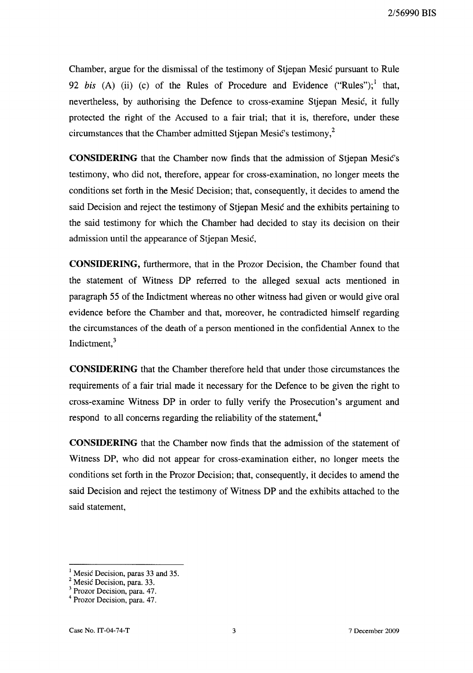Chamber, argue for the dismissal of the testimony of Stjepan Mesic pursuant to Rule 92 *bis* (A) (ii) (c) of the Rules of Procedure and Evidence ("Rules"); <sup>1</sup> that, nevertheless, by authorising the Defence to cross-examine Stjepan Mesic, it fully protected the right of the Accused to a fair trial; that it is, therefore, under these circumstances that the Chamber admitted Stjepan Mesic's testimony, $2$ 

**CONSIDERING** that the Chamber now finds that the admission of Stjepan Mesic's testimony, who did not, therefore, appear for cross-examination, no longer meets the conditions set forth in the Mesic Decision; that, consequently, it decides to amend the said Decision and reject the testimony of Stjepan Mesic and the exhibits pertaining to the said testimony for which the Chamber had decided to stay its decision on their admission until the appearance of Stjepan Mesic,

**CONSIDERING,** furthermore, that in the Prozor Decision, the Chamber found that the statement of Witness DP referred to the alleged sexual acts mentioned in paragraph 55 of the Indictment whereas no other witness had given or would give oral evidence before the Chamber and that, moreover, he contradicted himself regarding the circumstances of the death of a person mentioned in the confidential Annex to the Indictment,<sup>3</sup>

**CONSIDERING** that the Chamber therefore held that under those circumstances the requirements of a fair trial made it necessary for the Defence to be given the right to cross-examine Witness DP in order to fully verify the Prosecution's argument and respond to all concerns regarding the reliability of the statement,<sup>4</sup>

**CONSIDERING** that the Chamber now finds that the admission of the statement of Witness DP, who did not appear for cross-examination either, no longer meets the conditions set forth in the Prozor Decision; that, consequently, it decides to amend the said Decision and reject the testimony of Witness DP and the exhibits attached to the said statement,

Mesic Decision, paras 33 and 35.

<sup>&</sup>lt;sup>2</sup> Mesic Decision, para. 33.

<sup>3</sup> Prozor Decision, para. 47.

<sup>4</sup> Prozor Decision, para. 47.